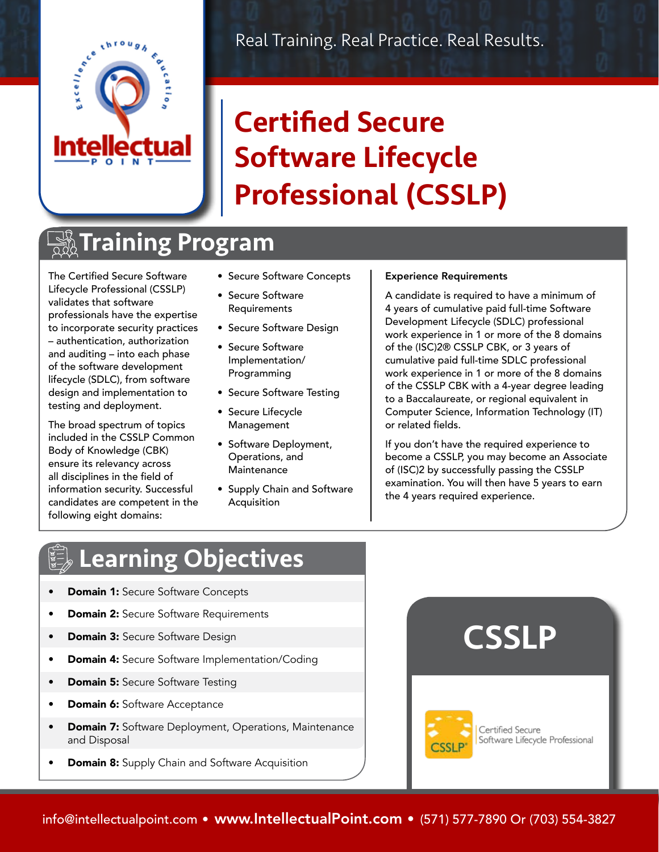

## Certified Secure Software Lifecycle Professional (CSSLP)

## **TAIning Program**

The Certified Secure Software Lifecycle Professional (CSSLP) validates that software professionals have the expertise to incorporate security practices – authentication, authorization and auditing – into each phase of the software development lifecycle (SDLC), from software design and implementation to testing and deployment.

The broad spectrum of topics included in the CSSLP Common Body of Knowledge (CBK) ensure its relevancy across all disciplines in the field of information security. Successful candidates are competent in the following eight domains:

- Secure Software Concepts
- Secure Software Requirements
- Secure Software Design
- Secure Software Implementation/ Programming
- Secure Software Testing
- Secure Lifecycle **Management**
- Software Deployment, Operations, and **Maintenance**
- Supply Chain and Software Acquisition

#### Experience Requirements

A candidate is required to have a minimum of 4 years of cumulative paid full-time Software Development Lifecycle (SDLC) professional work experience in 1 or more of the 8 domains of the (ISC)2® CSSLP CBK, or 3 years of cumulative paid full-time SDLC professional work experience in 1 or more of the 8 domains of the CSSLP CBK with a 4-year degree leading to a Baccalaureate, or regional equivalent in Computer Science, Information Technology (IT) or related fields.

If you don't have the required experience to become a CSSLP, you may become an Associate of (ISC)2 by successfully passing the CSSLP examination. You will then have 5 years to earn the 4 years required experience.

### Learning Objectives

- **Domain 1: Secure Software Concepts**
- **Domain 2:** Secure Software Requirements
- Domain 3: Secure Software Design
- Domain 4: Secure Software Implementation/Coding
- Domain 5: Secure Software Testing
- **Domain 6:** Software Acceptance
- **Domain 7:** Software Deployment, Operations, Maintenance and Disposal
- **Domain 8:** Supply Chain and Software Acquisition

# **CSSLP**